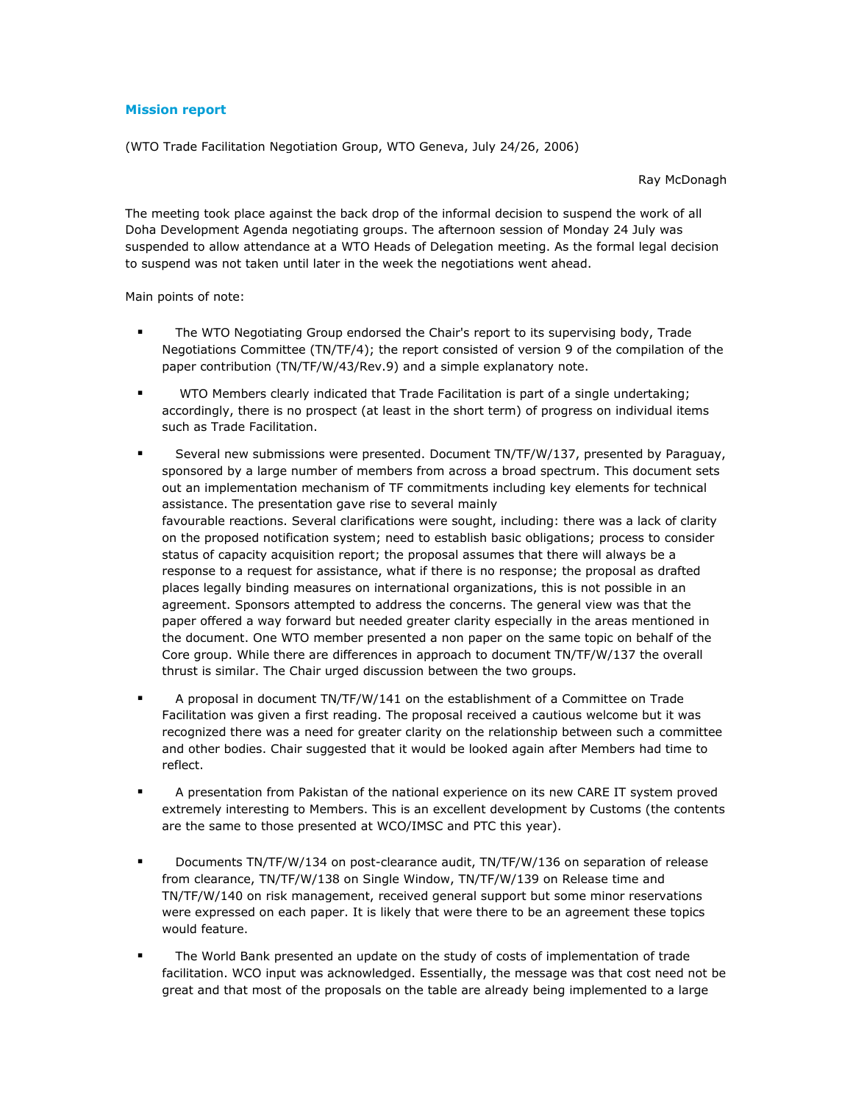## **Mission report**

(WTO Trade Facilitation Negotiation Group, WTO Geneva, July 24/26, 2006)

Ray McDonagh

The meeting took place against the back drop of the informal decision to suspend the work of all The meeting took place against the back drop of the informal decision to suspend the work of all<br>Doha Development Agenda negotiating groups. The afternoon session of Monday 24 July was Dona Development Agenda negotiating groups. The afternoon session of Monday 24 July was<br>suspended to allow attendance at a WTO Heads of Delegation meeting. As the formal legal decision to suspend was not taken until later in the week the negotiations went ahead.

Main points of note:

- **The WTO Negotiating Group endorsed the Chair's report to its supervising body, Trade** The WTO Negotiating Group endorsed the Chair's report to its supervising body, Trade<br>Negotiations Committee (TN/TF/4); the report consisted of version 9 of the compilation of the paper contribution (TN/TF/W/43/Rev.9) and a simple explanatory note.
- **The WTO Members clearly indicated that Trade Facilitation is part of a single undertaking;** wich members clearly indicated that Trade Facilitation is part or a single undertaking;<br>accordingly, there is no prospect (at least in the short term) of progress on individual items such as Trade Facilitation.
- **Several new submissions were presented. Document TN/TF/W/137, presented by Paraguay,** Several new submissions were presented. Document TN/TP/W/137, presented by Paraguay,<br>sponsored by a large number of members from across a broad spectrum. This document sets sponsored by a large number or members from across a broad spectrum. This document sets<br>out an implementation mechanism of TF commitments including key elements for technical out an implementation mechanism or TF commitments including<br>assistance. The presentation gave rise to several mainly assistance. The presentation gave rise to several mainly<br>favourable reactions. Several clarifications were sought, including: there was a lack of clarity ravourable reactions. Several clarifications were sought, including: there was a lack or clarity<br>on the proposed notification system; need to establish basic obligations; process to consider on the proposed notification system; heed to establish basic obligations; process to consider<br>status of capacity acquisition report; the proposal assumes that there will always be a status or capacity acquisition report; the proposal assumes that there will always be a<br>response to a request for assistance, what if there is no response; the proposal as drafted response to a request for assistance, what if there is no response; the proposal as drafted<br>places legally binding measures on international organizations, this is not possible in an piaces legally binding measures on international organizations, this is not possible in an<br>agreement. Sponsors attempted to address the concerns. The general view was that the agreement. Sponsors attempted to address the concerns. The general view was that the<br>paper offered a way forward but needed greater clarity especially in the areas mentioned in paper offered a way forward but needed greater clarity especially in the areas mentioned in<br>the document. One WTO member presented a non paper on the same topic on behalf of the the document. One WTO member presented a non paper on the same topic on benair or the<br>Core group. While there are differences in approach to document TN/TF/W/137 the overall thrust is similar. The Chair urged discussion between the two groups.
- **A** proposal in document TN/TF/W/141 on the establishment of a Committee on Trade A proposal in document TN/TF/W/141 on the establishment or a Committee on Trade<br>Facilitation was given a first reading. The proposal received a cautious welcome but it was Facilitation was given a first reading. The proposal received a cautious welcome but it was<br>recognized there was a need for greater clarity on the relationship between such a committee recognized there was a need for greater clarity on the relationship between such a committee<br>and other bodies. Chair suggested that it would be looked again after Members had time to
- **A** presentation from Pakistan of the national experience on its new CARE IT system proved A presentation from Pakistan of the national experience on its new CARE IT system proved<br>extremely interesting to Members. This is an excellent development by Customs (the contents are the same to those presented at WCO/IMSC and PTC this year).
- Documents TN/TF/W/134 on post-clearance audit, TN/TF/W/136 on separation of release Documents TN/TF/W/134 on post-clearance audit, TN/TF/W/136 on separation or release<br>from clearance, TN/TF/W/138 on Single Window, TN/TF/W/139 on Release time and rrom ciearance, TN/TF/W/138 on Single Window, TN/TF/W/139 on Release time and<br>TN/TF/W/140 on risk management, received general support but some minor reservations TN/TF/W/I40 on risk management, received general support but some minor reservations<br>were expressed on each paper. It is likely that were there to be an agreement these topics<br>would feature.
- **The World Bank presented an update on the study of costs of implementation of trade** I he world Bank presented an update on the study or costs or implementation or trade<br>facilitation. WCO input was acknowledged. Essentially, the message was that cost need not be great and that most of the proposals on the table are already being implemented to a large